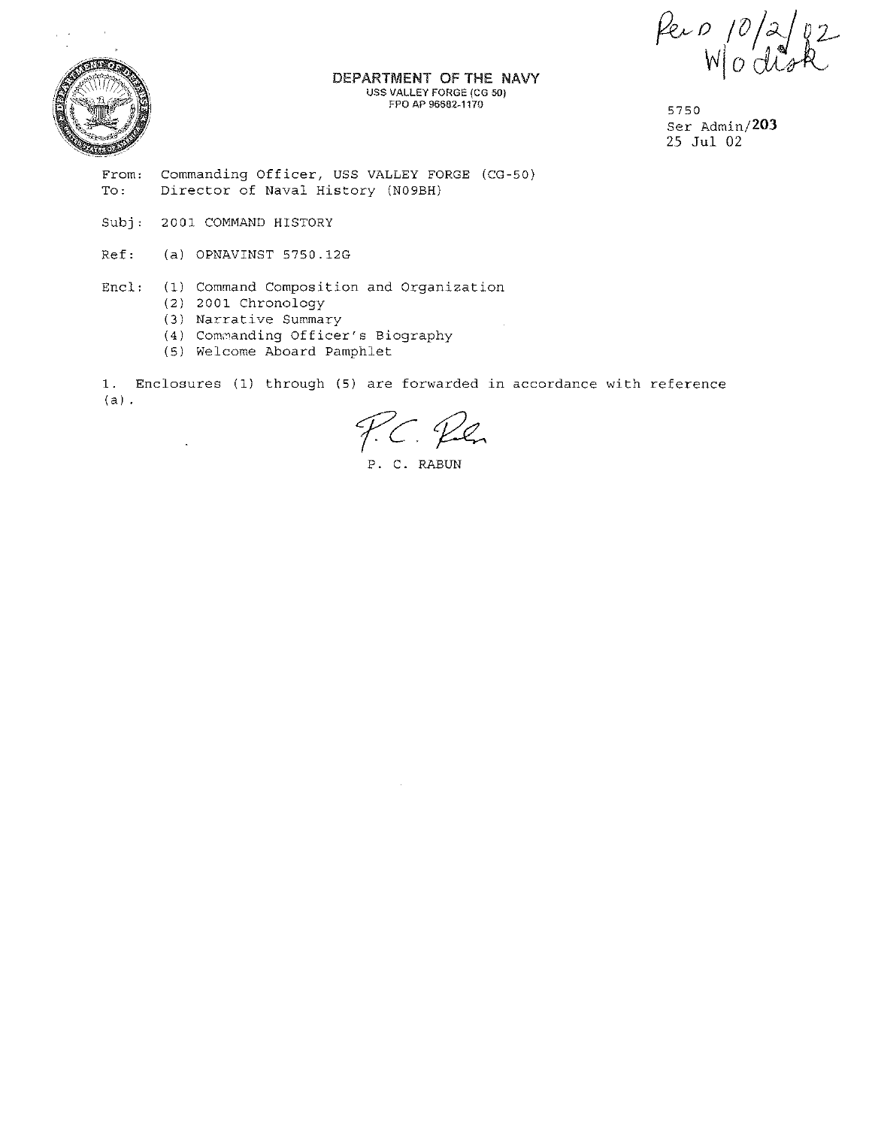DEPARTMENT OF THE NAVY USS VALLEY FORGE (CG 50) FPO AP 96682-1170

5750 Ser Admin/203 25 Jul 02

 $\frac{\rho_{e}}{N}$   $\frac{\rho}{2}$ 

From: To: Commanding Officer, USS VALLEY FORGE (CG-50) Director of Naval History (N09BH)

 $Subj:$ 2001 COMMAND HISTORY

 $\overline{\phantom{a}}$ 

- Ref: (a) OPNAVINST 5750.12G
- Encl' (1) Command Composition and Organization
	- (2) 2001 Chronology
	- (3) Narrative Summary
	- (4) Commanding Officer's Biography
	- (5) Welcome Aboard Pamphlet

1. Enclosures (1) through (5) are forwarded in accordance with reference  $(a)$ .

P.C. Ren

P. C. RABUN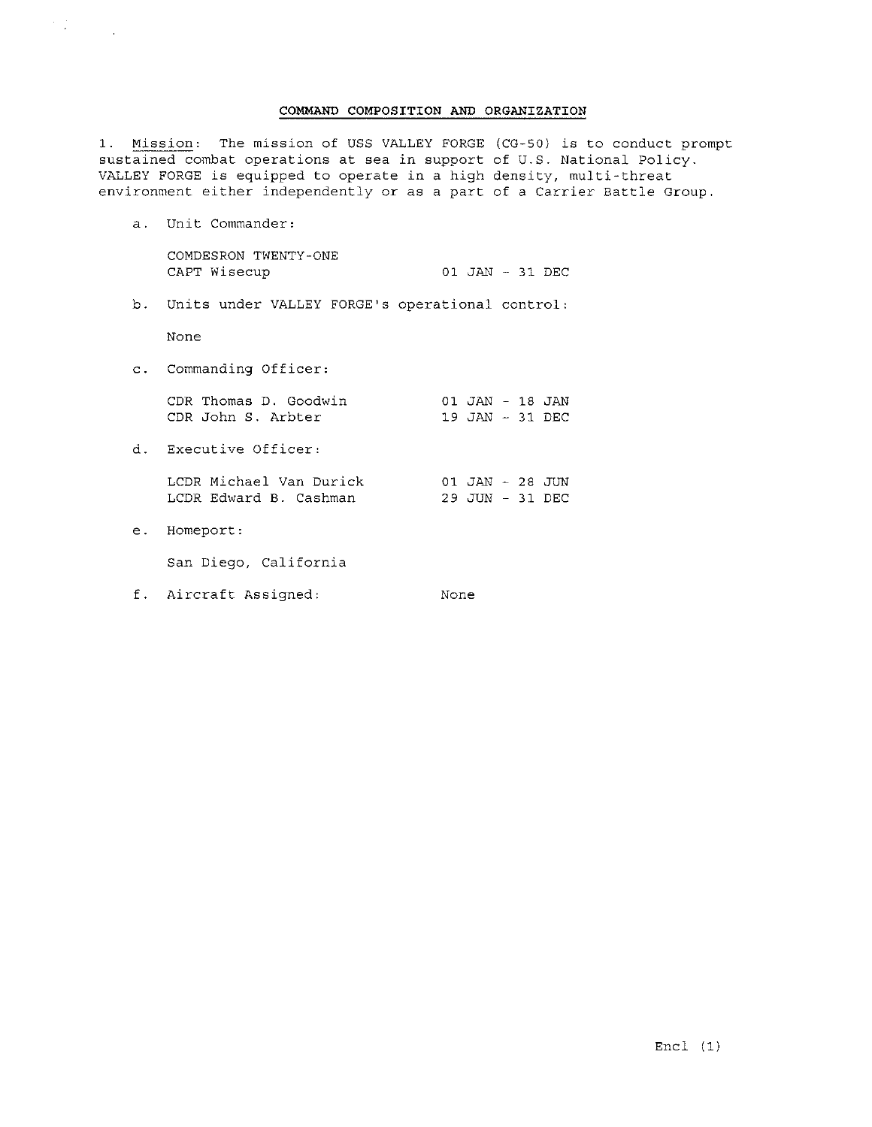## COMMAND COMPOSITION AND ORGANIZATION

1. Mission: The mission of USS VALLEY FORGE (CG-50) is to conduct prompt sustained combat operations at sea in support of U.S. National Policy. VALLEY FORGE is equipped to operate in a high density, multi-threat environment either independently or as a part of a Carrier Battle Group.

a. Unit Commander:

COMDESRON TWENTY-ONE CAPT Wisecup 01 JAN - 31 DEC

b. Units under VALLEY FORGE's operational control:

None

 $\label{eq:2} \frac{1}{\sqrt{2}}\sum_{i=1}^n\frac{1}{\sqrt{2}}\sum_{i=1}^n\frac{1}{\sqrt{2}}\sum_{i=1}^n\frac{1}{\sqrt{2}}\sum_{i=1}^n\frac{1}{\sqrt{2}}\sum_{i=1}^n\frac{1}{\sqrt{2}}\sum_{i=1}^n\frac{1}{\sqrt{2}}\sum_{i=1}^n\frac{1}{\sqrt{2}}\sum_{i=1}^n\frac{1}{\sqrt{2}}\sum_{i=1}^n\frac{1}{\sqrt{2}}\sum_{i=1}^n\frac{1}{\sqrt{2}}\sum_{i=1}^n\frac{1$ 

c. Commanding Officer:

CDR Thomas D. Goodwin 01 JAN - 18 JAN CDR Johns. Arbter 19 JAN - 31 DEC

d. Executive Officer:

LCDR Michael Van Durick LCDR Edward B. Cashman 01 JAN - 28 JUN 29 JUN - 31 DEC

e. Homeport:

San Diego, California

f. Aircraft Assigned: None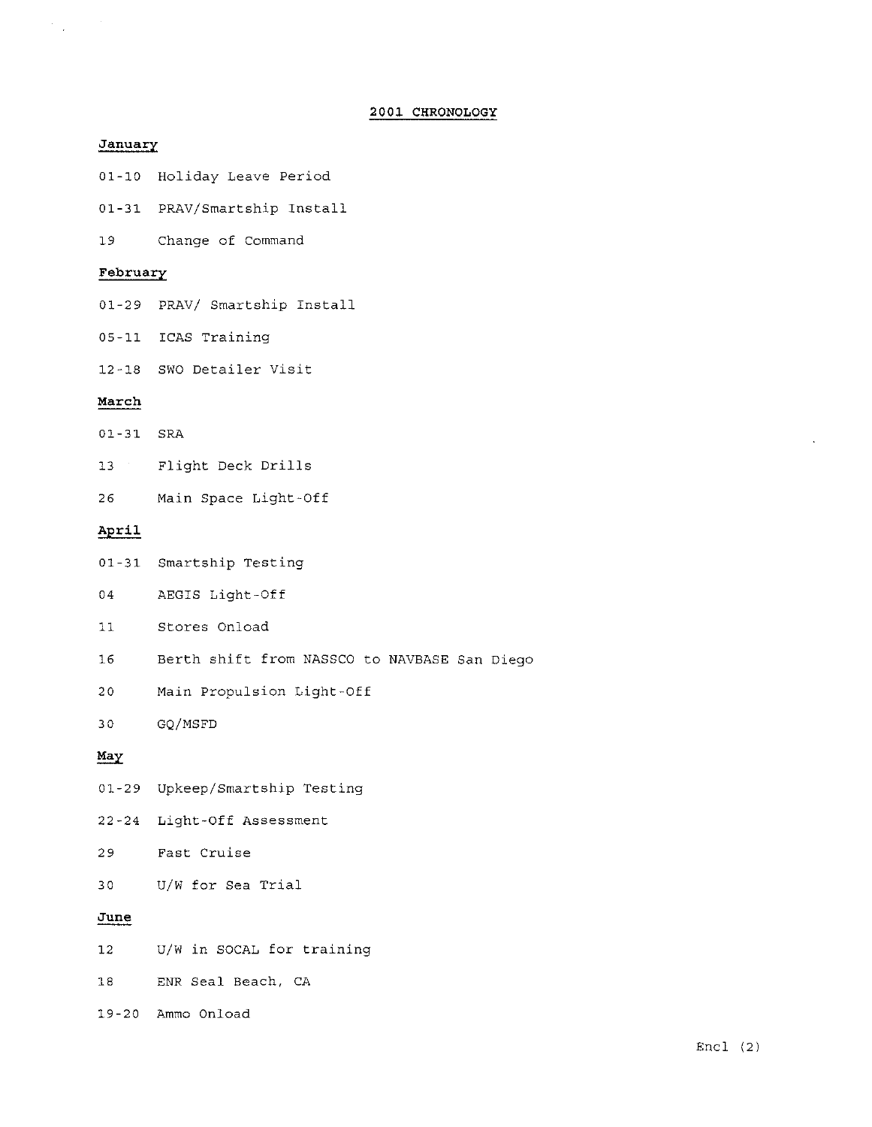# 2001 CHRONOLOGY

## **January**

 $\label{eq:2.1} \frac{1}{\sqrt{2}}\int_{\mathbb{R}^{2}}\frac{1}{\sqrt{2}}\left(\frac{1}{\sqrt{2}}\right)^{2}d\theta\,d\theta.$ 

- 01-10 Holiday Leave Period
- 01-31 PRAV/Smartship Install
- **19 Change of Command**

### **February**

- 01-29 PRAV/ Smartship Install
- 05-11 ICAS Training
- 12-18 swo Detailer Visit

### **March**

- 01-31 SRA
- 13 Flight Deck Drills
- 26 Main Space Light-Off

## April

- 01-31 Smartship Testing
- 04 AEGIS Light-Off
- 11 Stores Onload
- 16 Berth shift from NASSCO to NAVBASE San Diego
- 20 Main Propulsion Light-Off

30 GQ/MSFD

### May

- 01-29 Upkeep/Smartship Testing
- 22-24 Light-Off Assessment
- **29 Fast Cruise**
- 30 U/W for Sea Trial

## **June**

- 12 U/W in SOCAL for training
- 18 ENR Seal Beach, CA
- 19-20 Ammo Onload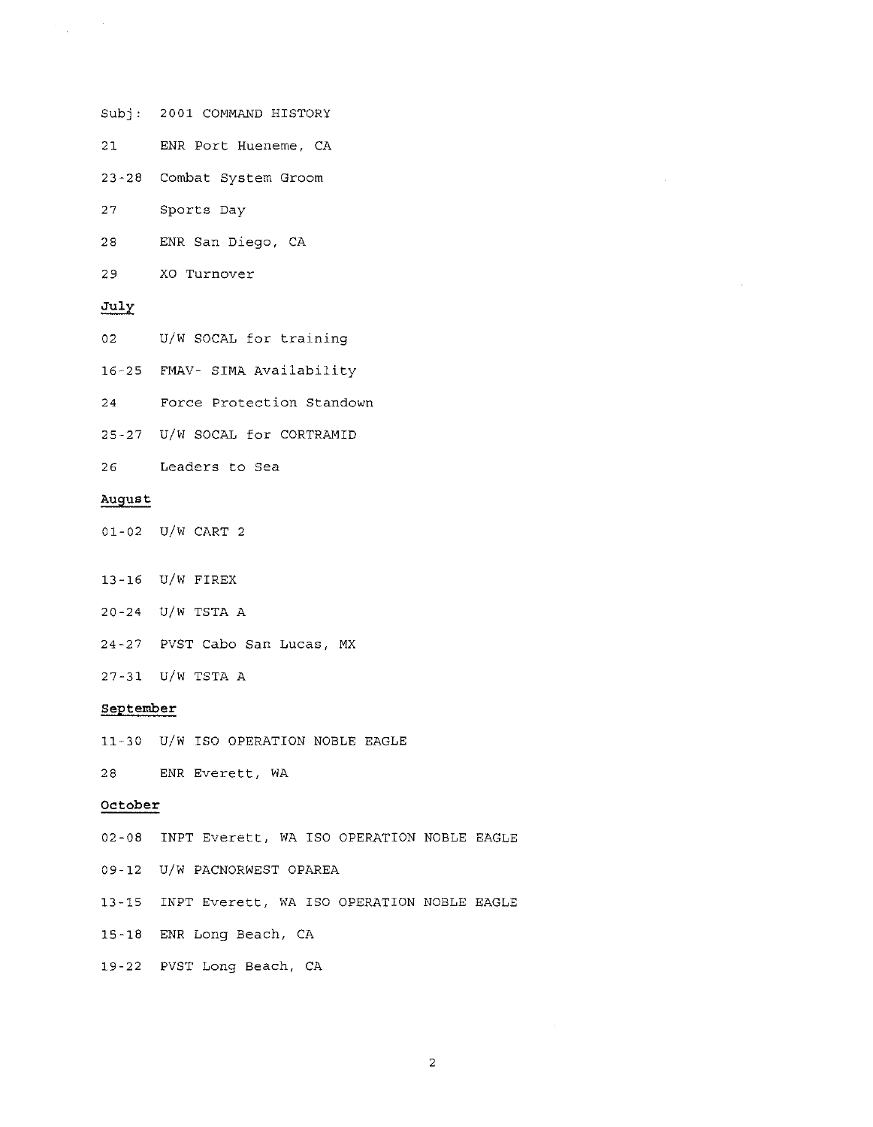Subj: 2001 COMMAND HISTORY

**21 ENR Port Hueneme, CA** 

**23-28 Combat System Groom** 

27 Sports Day

28 ENR San Diego, CA

**29 XO Turnover** 

### July

 $\label{eq:2.1} \frac{1}{\sqrt{2}}\sum_{\mathbf{k}\in\mathbb{Z}}\left(\frac{1}{\sqrt{2}}\sum_{\mathbf{k}\in\mathbb{Z}}\left(\frac{1}{\sqrt{2}}\right)^{\frac{1}{2}}\right)^{\frac{1}{2}}\left(\frac{1}{\sqrt{2}}\right)^{\frac{1}{2}}\left(\frac{1}{\sqrt{2}}\right)^{\frac{1}{2}}\left(\frac{1}{\sqrt{2}}\right)^{\frac{1}{2}}\left(\frac{1}{\sqrt{2}}\right)^{\frac{1}{2}}\left(\frac{1}{\sqrt{2}}\right)^{\frac{1}{2}}\left(\frac{1}{\sqrt{2}}\right)^{\frac$ 

02 U/W SOCAL for training

16-25 FMAV- SIMA Availability

**24 Force Protection Standown** 

25-27 U/W SOCAL for CORTRAMID

**26 Leaders to sea** 

### **August**

01-02 U/W CART 2

13-16 U/W FIREX

20-24 U/W TSTA A

**24-27 PVST Cabo San Lucas, MX** 

27-31 U/W TSTA A

#### **September**

11-30 U/W ISO OPERATION NOBLE EAGLE

28 ENR Everett, WA

## **October**

02-08 INPT Everett, WA ISO OPERATION NOBLE EAGLE

09-12 U/W PACNORWEST OPAREA

13-15 INPT Everett, WA ISO OPERATION NOBLE EAGLE

15-18 ENR Long Beach, CA

19-22 PVST Long Beach, CA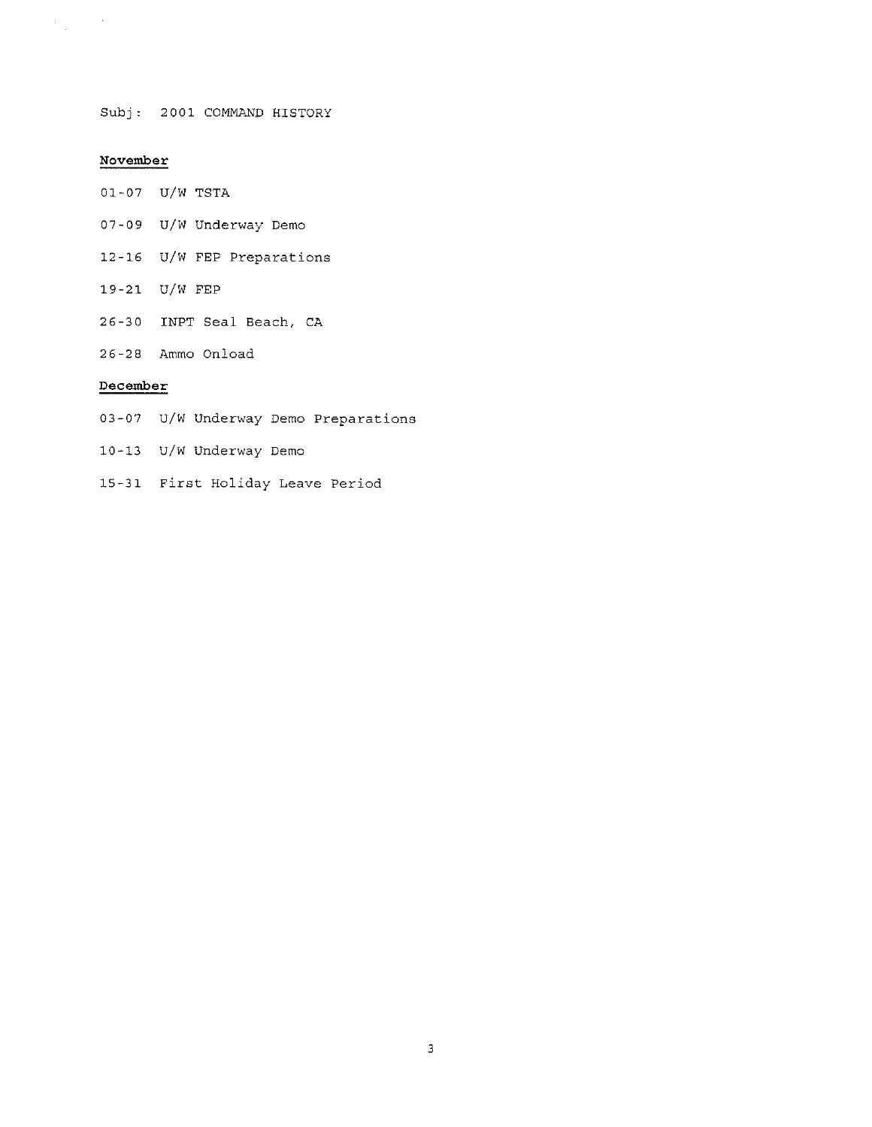Subj, 2001 COMMAND HISTORY

# November

 $\label{eq:1} \frac{1}{\sqrt{2}}\sum_{\mathbf{k}\in\mathbb{Z}}\left(\frac{1}{\sqrt{2}}\right)^{\frac{1}{2}}\frac{d\mathbf{k}}{d\mathbf{k}}\,.$ 

- 01-07 U/W TSTA
- 07-09 U/W Underway Demo
- 12-16 U/W FEP Preparations
- 19-21 U/W FEP
- 26-30 INPT Seal Beach, CA
- 26-28 Ammo On load

# December

- 03-07 U/W Underway Demo Preparations
- 10-13 U/W Underway Demo
- 15-31 First Holiday Leave Period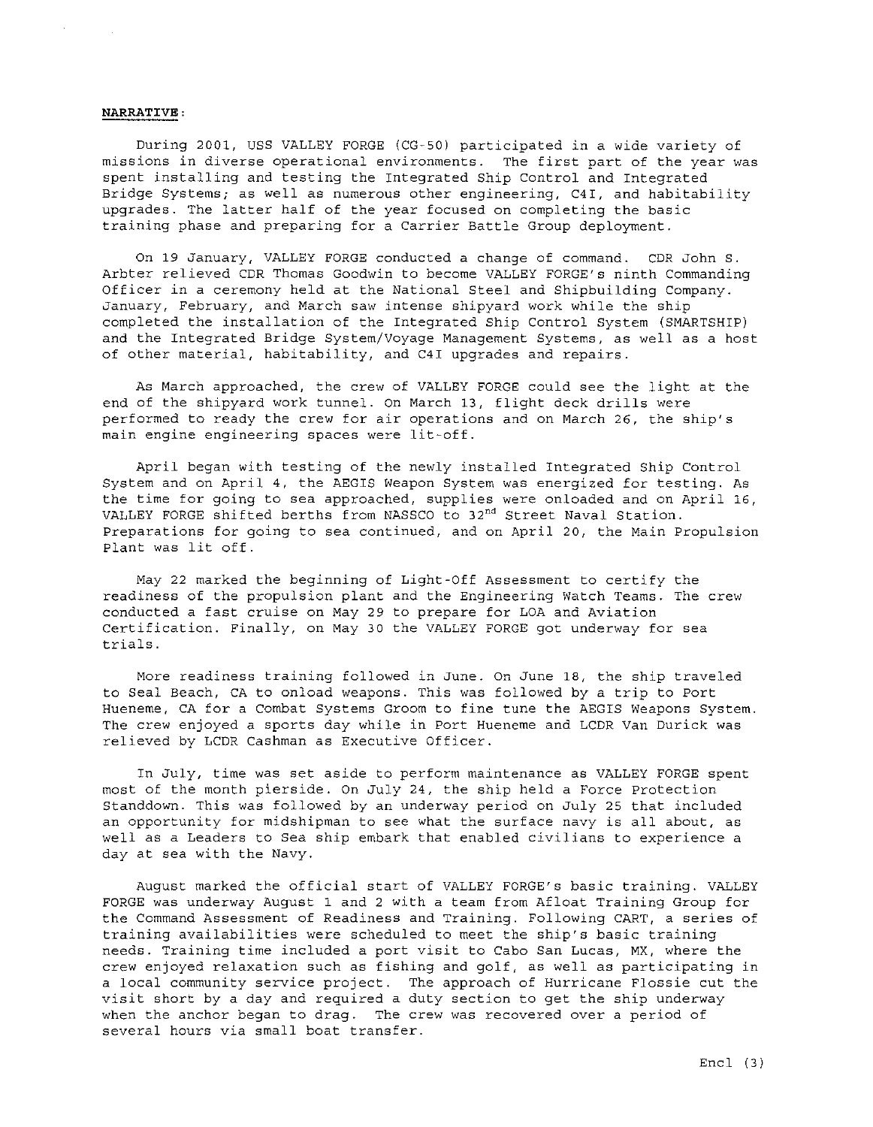#### NARRATIVE:

During 2001, USS VALLEY FORGE (CG-50) participated in a wide variety of missions in diverse operational environments. The first part of the year was spent installing and testing the Integrated Ship Control and Integrated Bridge Systems; as well as numerous other engineering, C4I, and habitability upgrades. The latter half of the year focused on completing the basic training phase and preparing for a Carrier Battle Group deployment.

On 19 January, VALLEY FORGE conducted a change of command. CDR John S. Arbter relieved CDR Thomas Goodwin to become VALLEY FORGE'S ninth Commanding Officer in a ceremony held at the National Steel and Shipbuilding Company. January, February, and March saw intense shipyard work while the ship completed the installation of the Integrated Ship Control System (SMARTSHIP) and the Integrated Bridge System/Voyage Management Systems, as well as a host of other material, habitability, and C4I upgrades and repairs.

As March approached, the crew of VALLEY FORGE could see the light at the end of the shipyard work tunnel. On March 13, flight deck drills were performed to ready the crew for air operations and on March 26, the ship's main engine engineering spaces were lit-off.

April began with testing of the newly installed Integrated Ship Control System and on April 4, the AEGIS Weapon System was energized for testing. As the time for going to sea approached, supplies were onloaded and on April 16, VALLEY FORGE shifted berths from NASSCO to  $32<sup>nd</sup>$  Street Naval Station. Preparations for going to sea continued, and on April 20, the Main Propulsion Plant was lit off.

May 22 marked the beginning of Light-Off Assessment to certify the readiness of the propulsion plant and the Engineering Watch Teams. The crew conducted a fast cruise on May 29 to prepare for LOA and Aviation Certification. Finally, on May 30 the VALLEY FORGE got underway for sea trials.

More readiness training followed in June. On June 18, the ship traveled to Seal Beach, CA to onload weapons. This was followed by a trip to Port Hueneme, CA for a Combat Systems Groom to fine tune the AEGIS Weapons System. The crew enjoyed a sports day while in Port Hueneme and LCDR Van Durick was relieved by LCDR Cashman as Executive Officer.

In July, time was set aside to perform maintenance as VALLEY FORGE spent most of the month pierside. On July 24, the ship held a Force Protection Standdown. This was followed by an underway period on July 25 that included an opportunity for midshipman to see what the surface navy is all about, as well as a Leaders to Sea ship embark that enabled civilians to experience a day at sea with the Navy.

August marked the official start of VALLEY FORGE'S basic training. VALLEY FORGE was underway August 1 and 2 with a team from Afloat Training Group for the Command Assessment of Readiness and Training. Following CART, a series of training availabilities were scheduled to meet the ship's basic training needs. Training time included a port visit to Cabo San Lucas, MX, where the crew enjoyed relaxation such as fishing and golf, as well as participating in a local community service project. The approach of Hurricane Flossie cut the visit short by a day and required a duty section to get the ship underway when the anchor began to drag. The crew was recovered over a period of several hours via small boat transfer.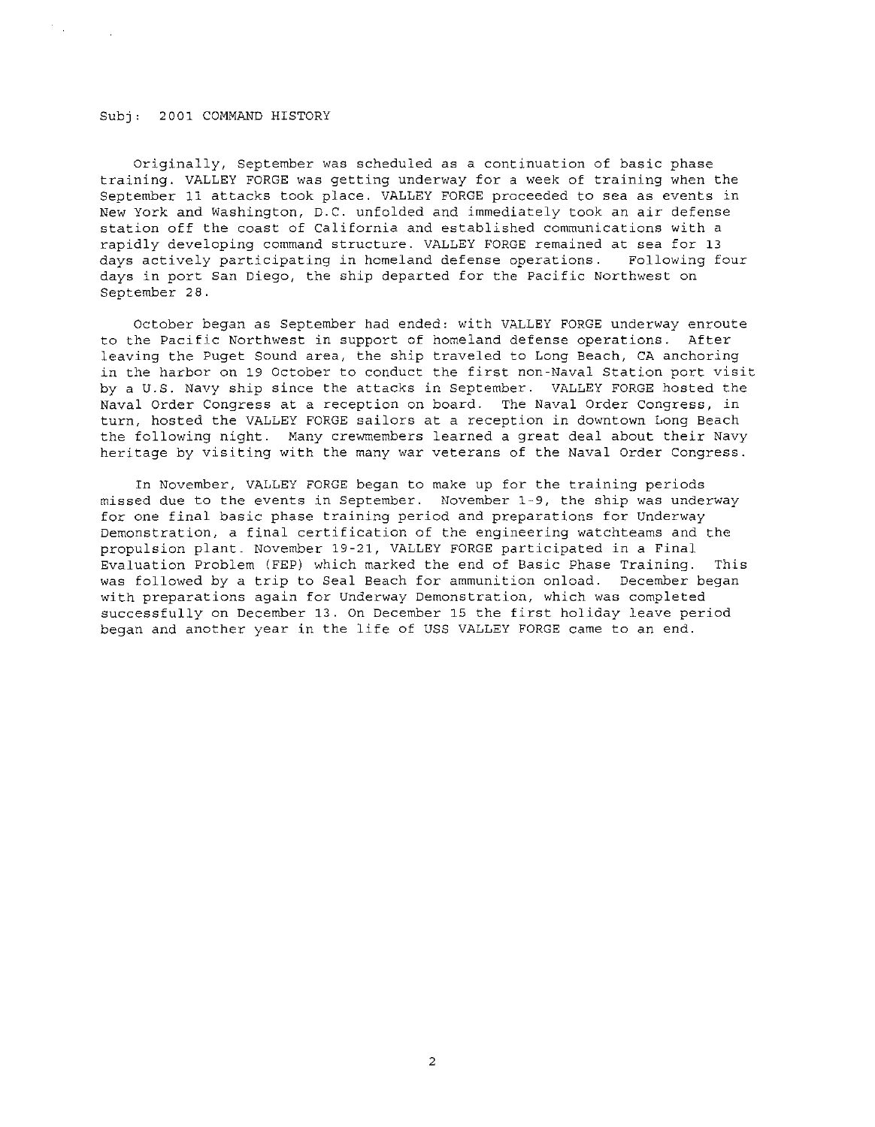#### 2001 COMMAND HISTORY

 $\mathcal{F}(\mathcal{A})$  .

Originally, September was scheduled as a continuation of basic phase training. VALLEY FORGE was getting underway for a week of training when the September 11 attacks took place. VALLEY FORGE proceeded to sea as events in New York and Washington, D.C. unfolded and immediately took an air defense station off the coast of California and established communications with a rapidly developing command structure. VALLEY FORGE remained at sea for 13<br>days actively participating in homeland defense operations. Following four days actively participating in homeland defense operations. days in port San Diego, the ship departed for the Pacific Northwest on September 28.

October began as September had ended: with VALLEY FORGE underway enroute to the Pacific Northwest in support of homeland defense operations. After leaving the Puget Sound area, the ship traveled to Long Beach, CA anchoring in the harbor on 19 October to conduct the first non-Naval Station port visit by a U.S. Navy ship since the attacks in September. VALLEY FORGE hosted the Naval Order Congress at a reception on board. The Naval Order Congress, in turn, hosted the VALLEY FORGE sailors at a reception in downtown Long Beach the following night. Many crewmembers learned a great deal about their Navy heritage by visiting with the many war veterans of the Naval Order Congress.

In November, VALLEY FORGE began to make up for the training periods missed due to the events in September. November 1-9, the ship was underway for one final basic phase training period and preparations for Underway Demonstration, a final certification of the engineering watchteams and the propulsion plant. November 19-21, VALLEY FORGE participated in a Final Evaluation Problem (FEP) which marked the end of Basic Phase Training. This was followed by a trip to Seal Beach for ammunition onload. December began with preparations again for Underway Demonstration, which was completed successfully on December 13. On December 15 the first holiday leave period began and another year in the life of USS VALLEY FORGE came to an end.